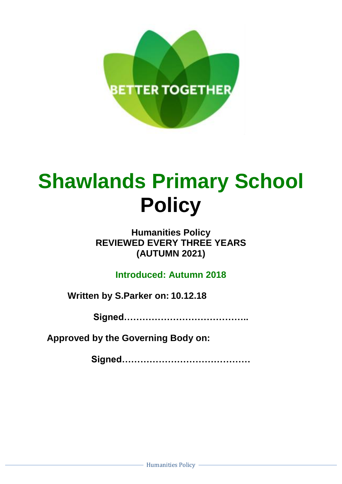

# **Shawlands Primary School Policy**

### **Humanities Policy REVIEWED EVERY THREE YEARS (AUTUMN 2021)**

**Introduced: Autumn 2018**

**Written by S.Parker on: 10.12.18**

**Signed…………………………………..**

**Approved by the Governing Body on:**

**Signed……………………………………**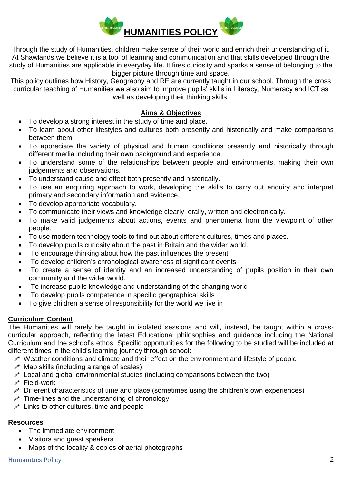

Through the study of Humanities, children make sense of their world and enrich their understanding of it. At Shawlands we believe it is a tool of learning and communication and that skills developed through the study of Humanities are applicable in everyday life. It fires curiosity and sparks a sense of belonging to the bigger picture through time and space.

This policy outlines how History, Geography and RE are currently taught in our school. Through the cross curricular teaching of Humanities we also aim to improve pupils' skills in Literacy, Numeracy and ICT as well as developing their thinking skills.

### **Aims & Objectives**

- To develop a strong interest in the study of time and place.
- To learn about other lifestyles and cultures both presently and historically and make comparisons between them.
- To appreciate the variety of physical and human conditions presently and historically through different media including their own background and experience.
- To understand some of the relationships between people and environments, making their own judgements and observations.
- To understand cause and effect both presently and historically.
- To use an enquiring approach to work, developing the skills to carry out enquiry and interpret primary and secondary information and evidence.
- To develop appropriate vocabulary.
- To communicate their views and knowledge clearly, orally, written and electronically.
- To make valid judgements about actions, events and phenomena from the viewpoint of other people.
- To use modern technology tools to find out about different cultures, times and places.
- To develop pupils curiosity about the past in Britain and the wider world.
- To encourage thinking about how the past influences the present
- To develop children's chronological awareness of significant events
- To create a sense of identity and an increased understanding of pupils position in their own community and the wider world.
- To increase pupils knowledge and understanding of the changing world
- To develop pupils competence in specific geographical skills
- To give children a sense of responsibility for the world we live in

### **Curriculum Content**

The Humanities will rarely be taught in isolated sessions and will, instead, be taught within a crosscurricular approach, reflecting the latest Educational philosophies and guidance including the National Curriculum and the school's ethos. Specific opportunities for the following to be studied will be included at different times in the child's learning journey through school:

- $\mathscr N$  Weather conditions and climate and their effect on the environment and lifestyle of people
- $\mathscr N$  Map skills (including a range of scales)
- $\mathscr{P}$  Local and global environmental studies (including comparisons between the two)
- Field-work
- $\mathscr P$  Different characteristics of time and place (sometimes using the children's own experiences)
- $\mathscr N$  Time-lines and the understanding of chronology
- $\mathscr P$  Links to other cultures, time and people

### **Resources**

- The immediate environment
- Visitors and guest speakers
- Maps of the locality & copies of aerial photographs

### Humanities Policy 2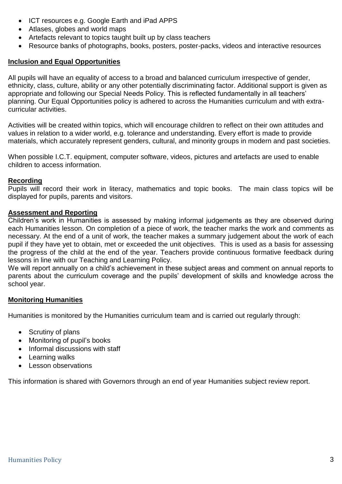- ICT resources e.g. Google Earth and iPad APPS
- Atlases, globes and world maps
- Artefacts relevant to topics taught built up by class teachers
- Resource banks of photographs, books, posters, poster-packs, videos and interactive resources

### **Inclusion and Equal Opportunities**

All pupils will have an equality of access to a broad and balanced curriculum irrespective of gender, ethnicity, class, culture, ability or any other potentially discriminating factor. Additional support is given as appropriate and following our Special Needs Policy. This is reflected fundamentally in all teachers' planning. Our Equal Opportunities policy is adhered to across the Humanities curriculum and with extracurricular activities.

Activities will be created within topics, which will encourage children to reflect on their own attitudes and values in relation to a wider world, e.g. tolerance and understanding. Every effort is made to provide materials, which accurately represent genders, cultural, and minority groups in modern and past societies.

When possible I.C.T. equipment, computer software, videos, pictures and artefacts are used to enable children to access information.

### **Recording**

Pupils will record their work in literacy, mathematics and topic books. The main class topics will be displayed for pupils, parents and visitors.

### **Assessment and Reporting**

Children's work in Humanities is assessed by making informal judgements as they are observed during each Humanities lesson. On completion of a piece of work, the teacher marks the work and comments as necessary. At the end of a unit of work, the teacher makes a summary judgement about the work of each pupil if they have yet to obtain, met or exceeded the unit objectives. This is used as a basis for assessing the progress of the child at the end of the year. Teachers provide continuous formative feedback during lessons in line with our Teaching and Learning Policy.

We will report annually on a child's achievement in these subject areas and comment on annual reports to parents about the curriculum coverage and the pupils' development of skills and knowledge across the school year.

### **Monitoring Humanities**

Humanities is monitored by the Humanities curriculum team and is carried out regularly through:

- Scrutiny of plans
- Monitoring of pupil's books
- Informal discussions with staff
- Learning walks
- Lesson observations

This information is shared with Governors through an end of year Humanities subject review report.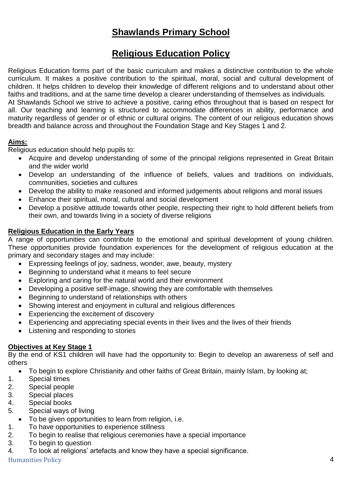# **Shawlands Primary School**

## **Religious Education Policy**

Religious Education forms part of the basic curriculum and makes a distinctive contribution to the whole curriculum. It makes a positive contribution to the spiritual, moral, social and cultural development of children. It helps children to develop their knowledge of different religions and to understand about other faiths and traditions, and at the same time develop a clearer understanding of themselves as individuals. At Shawlands School we strive to achieve a positive, caring ethos throughout that is based on respect for all. Our teaching and learning is structured to accommodate differences in ability, performance and maturity regardless of gender or of ethnic or cultural origins. The content of our religious education shows breadth and balance across and throughout the Foundation Stage and Key Stages 1 and 2.

### **Aims:**

Religious education should help pupils to:

- Acquire and develop understanding of some of the principal religions represented in Great Britain and the wider world
- Develop an understanding of the influence of beliefs, values and traditions on individuals, communities, societies and cultures
- Develop the ability to make reasoned and informed judgements about religions and moral issues
- Enhance their spiritual, moral, cultural and social development
- Develop a positive attitude towards other people, respecting their right to hold different beliefs from their own, and towards living in a society of diverse religions

### **Religious Education in the Early Years**

A range of opportunities can contribute to the emotional and spiritual development of young children. These opportunities provide foundation experiences for the development of religious education at the primary and secondary stages and may include:

- Expressing feelings of joy, sadness, wonder, awe, beauty, mystery
- Beginning to understand what it means to feel secure
- Exploring and caring for the natural world and their environment
- Developing a positive self-image, showing they are comfortable with themselves
- Beginning to understand of relationships with others
- Showing interest and enjoyment in cultural and religious differences
- Experiencing the excitement of discovery
- Experiencing and appreciating special events in their lives and the lives of their friends
- Listening and responding to stories

### **Objectives at Key Stage 1**

By the end of KS1 children will have had the opportunity to: Begin to develop an awareness of self and others

- To begin to explore Christianity and other faiths of Great Britain, mainly Islam, by looking at;
- 1. Special times
- 2. Special people
- 3. Special places
- 4. Special books
- 5. Special ways of living
- To be given opportunities to learn from religion, i.e.
- 1. To have opportunities to experience stillness
- 2. To begin to realise that religious ceremonies have a special importance
- 3. To begin to question
- 4. To look at religions' artefacts and know they have a special significance.

Humanities Policy 4